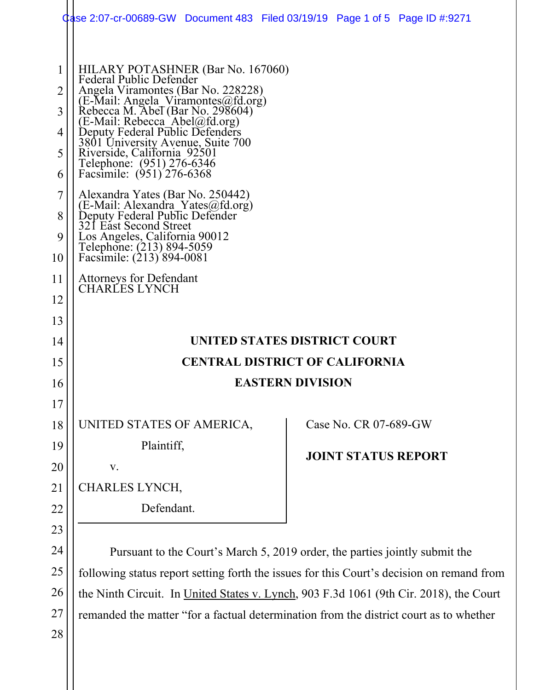|                       | Case 2:07-cr-00689-GW Document 483 Filed 03/19/19 Page 1 of 5 Page ID #:9271                                                                                                                                                                                                                                                                                                   |                         |                            |  |  |  |  |  |
|-----------------------|--------------------------------------------------------------------------------------------------------------------------------------------------------------------------------------------------------------------------------------------------------------------------------------------------------------------------------------------------------------------------------|-------------------------|----------------------------|--|--|--|--|--|
| 2<br>3<br>4<br>5<br>6 | HILARY POTASHNER (Bar No. 167060)<br>Federal Public Defender<br>Angela Viramontes (Bar No. 228228)<br>(E-Mail: Angela Viramontes@fd.org)<br>Rebecca M. Abel (Bar No. 298604)<br>(E-Mail: Rebecca Abel@fd.org)<br>Deputy Federal Public Defenders<br>3801 University Avenue, Suite 700<br>Riverside, California 92501<br>Telephone: (951) 276-6346<br>Facsimile: (951) 276-6368 |                         |                            |  |  |  |  |  |
| 7<br>8<br>9<br>10     | Alexandra Yates (Bar No. 250442)<br>(E-Mail: Alexandra_Yates@fd.org)<br>Deputy Federal Public Defender<br>321 East Second Street<br>Los Angeles, California 90012<br>Telephone: (213) 894-5059<br>Facsimile: (213) 894-0081                                                                                                                                                    |                         |                            |  |  |  |  |  |
| 11<br>12              | <b>Attorneys for Defendant</b><br><b>CHARLES LYNCH</b>                                                                                                                                                                                                                                                                                                                         |                         |                            |  |  |  |  |  |
| 13                    |                                                                                                                                                                                                                                                                                                                                                                                |                         |                            |  |  |  |  |  |
| 14                    | UNITED STATES DISTRICT COURT                                                                                                                                                                                                                                                                                                                                                   |                         |                            |  |  |  |  |  |
| 15                    | <b>CENTRAL DISTRICT OF CALIFORNIA</b>                                                                                                                                                                                                                                                                                                                                          |                         |                            |  |  |  |  |  |
| 16                    |                                                                                                                                                                                                                                                                                                                                                                                | <b>EASTERN DIVISION</b> |                            |  |  |  |  |  |
| 17                    |                                                                                                                                                                                                                                                                                                                                                                                |                         |                            |  |  |  |  |  |
| 18                    | UNITED STATES OF AMERICA,                                                                                                                                                                                                                                                                                                                                                      |                         | Case No. CR 07-689-GW      |  |  |  |  |  |
| 19                    | Plaintiff,                                                                                                                                                                                                                                                                                                                                                                     |                         | <b>JOINT STATUS REPORT</b> |  |  |  |  |  |
| 20                    | ${\bf V}$ .                                                                                                                                                                                                                                                                                                                                                                    |                         |                            |  |  |  |  |  |
| 21                    | CHARLES LYNCH,                                                                                                                                                                                                                                                                                                                                                                 |                         |                            |  |  |  |  |  |
| 22                    | Defendant.                                                                                                                                                                                                                                                                                                                                                                     |                         |                            |  |  |  |  |  |
| 23                    |                                                                                                                                                                                                                                                                                                                                                                                |                         |                            |  |  |  |  |  |
| 24                    | Pursuant to the Court's March 5, 2019 order, the parties jointly submit the                                                                                                                                                                                                                                                                                                    |                         |                            |  |  |  |  |  |
| 25                    | following status report setting forth the issues for this Court's decision on remand from                                                                                                                                                                                                                                                                                      |                         |                            |  |  |  |  |  |
| 26                    | the Ninth Circuit. In United States v. Lynch, 903 F.3d 1061 (9th Cir. 2018), the Court                                                                                                                                                                                                                                                                                         |                         |                            |  |  |  |  |  |

27 remanded the matter "for a factual determination from the district court as to whether

28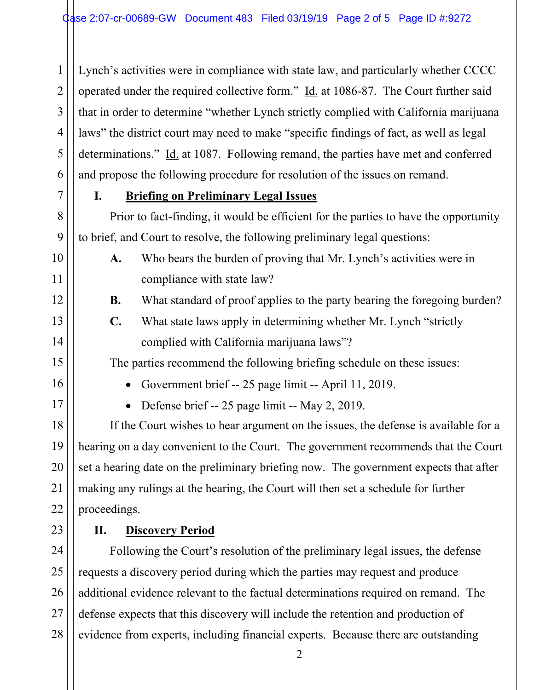Lynch's activities were in compliance with state law, and particularly whether CCCC operated under the required collective form." Id. at 1086-87. The Court further said that in order to determine "whether Lynch strictly complied with California marijuana laws" the district court may need to make "specific findings of fact, as well as legal determinations." Id. at 1087. Following remand, the parties have met and conferred and propose the following procedure for resolution of the issues on remand.

1

2

3

4

5

6

7

8

9

10

11

12

13

14

15

16

17

18

19

20

21

22

23

# **I. Briefing on Preliminary Legal Issues**

Prior to fact-finding, it would be efficient for the parties to have the opportunity to brief, and Court to resolve, the following preliminary legal questions:

**A.** Who bears the burden of proving that Mr. Lynch's activities were in compliance with state law?

- **B.** What standard of proof applies to the party bearing the foregoing burden?
- **C.** What state laws apply in determining whether Mr. Lynch "strictly complied with California marijuana laws"?

The parties recommend the following briefing schedule on these issues:

Government brief -- 25 page limit -- April 11, 2019.

• Defense brief -- 25 page limit -- May 2, 2019.

If the Court wishes to hear argument on the issues, the defense is available for a hearing on a day convenient to the Court. The government recommends that the Court set a hearing date on the preliminary briefing now. The government expects that after making any rulings at the hearing, the Court will then set a schedule for further proceedings.

# **II. Discovery Period**

24 25 26 27 28 Following the Court's resolution of the preliminary legal issues, the defense requests a discovery period during which the parties may request and produce additional evidence relevant to the factual determinations required on remand. The defense expects that this discovery will include the retention and production of evidence from experts, including financial experts. Because there are outstanding

2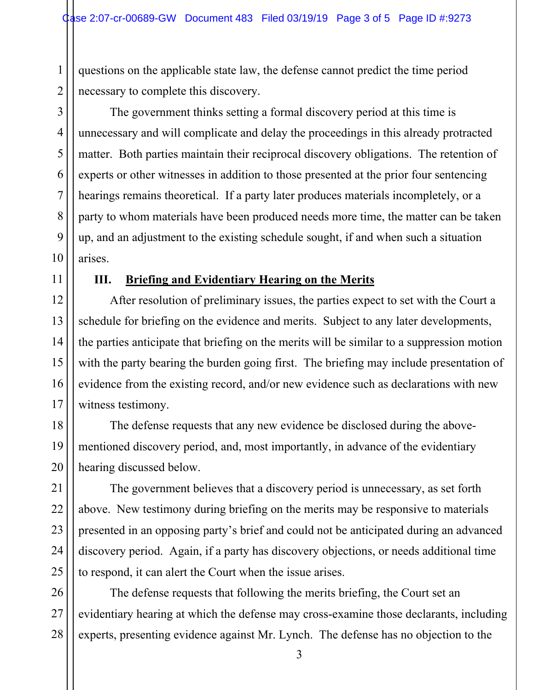questions on the applicable state law, the defense cannot predict the time period necessary to complete this discovery.

The government thinks setting a formal discovery period at this time is unnecessary and will complicate and delay the proceedings in this already protracted matter. Both parties maintain their reciprocal discovery obligations. The retention of experts or other witnesses in addition to those presented at the prior four sentencing hearings remains theoretical. If a party later produces materials incompletely, or a party to whom materials have been produced needs more time, the matter can be taken up, and an adjustment to the existing schedule sought, if and when such a situation arises.

# **III. Briefing and Evidentiary Hearing on the Merits**

After resolution of preliminary issues, the parties expect to set with the Court a schedule for briefing on the evidence and merits. Subject to any later developments, the parties anticipate that briefing on the merits will be similar to a suppression motion with the party bearing the burden going first. The briefing may include presentation of evidence from the existing record, and/or new evidence such as declarations with new witness testimony.

The defense requests that any new evidence be disclosed during the abovementioned discovery period, and, most importantly, in advance of the evidentiary hearing discussed below.

The government believes that a discovery period is unnecessary, as set forth above. New testimony during briefing on the merits may be responsive to materials presented in an opposing party's brief and could not be anticipated during an advanced discovery period. Again, if a party has discovery objections, or needs additional time to respond, it can alert the Court when the issue arises.

The defense requests that following the merits briefing, the Court set an evidentiary hearing at which the defense may cross-examine those declarants, including experts, presenting evidence against Mr. Lynch. The defense has no objection to the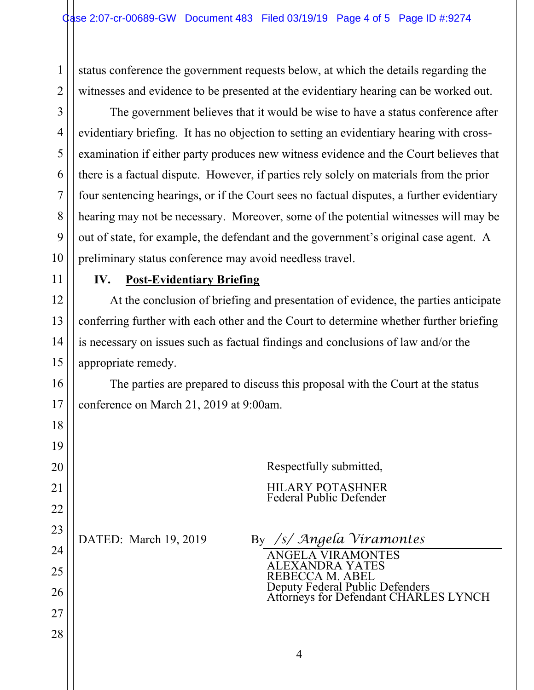status conference the government requests below, at which the details regarding the witnesses and evidence to be presented at the evidentiary hearing can be worked out.

The government believes that it would be wise to have a status conference after evidentiary briefing. It has no objection to setting an evidentiary hearing with crossexamination if either party produces new witness evidence and the Court believes that there is a factual dispute. However, if parties rely solely on materials from the prior four sentencing hearings, or if the Court sees no factual disputes, a further evidentiary hearing may not be necessary. Moreover, some of the potential witnesses will may be out of state, for example, the defendant and the government's original case agent. A preliminary status conference may avoid needless travel.

11

1

2

3

4

5

6

7

8

9

10

12

13

14

### **IV. Post-Evidentiary Briefing**

At the conclusion of briefing and presentation of evidence, the parties anticipate conferring further with each other and the Court to determine whether further briefing is necessary on issues such as factual findings and conclusions of law and/or the appropriate remedy.

| 15 | appropriate remedy.                                                            |  |  |  |  |  |
|----|--------------------------------------------------------------------------------|--|--|--|--|--|
| 16 | The parties are prepared to discuss this proposal with the Court at the status |  |  |  |  |  |
| 17 | conference on March 21, 2019 at 9:00am.                                        |  |  |  |  |  |
| 18 |                                                                                |  |  |  |  |  |
| 19 |                                                                                |  |  |  |  |  |
| 20 | Respectfully submitted,                                                        |  |  |  |  |  |
| 21 | <b>HILARY POTASHNER</b><br>Federal Public Defender                             |  |  |  |  |  |
| 22 |                                                                                |  |  |  |  |  |
| 23 | By /s/ Angela Viramontes                                                       |  |  |  |  |  |
| 24 | DATED: March 19, 2019<br><b>ANGELA VIRAMONTES</b>                              |  |  |  |  |  |
| 25 | ALEXANDRA YATES<br>REBECCA M. ABEL                                             |  |  |  |  |  |
| 26 | Deputy Federal Public Defenders<br>Attorneys for Defendant CHARLES LYNCH       |  |  |  |  |  |
| 27 |                                                                                |  |  |  |  |  |
| 28 |                                                                                |  |  |  |  |  |